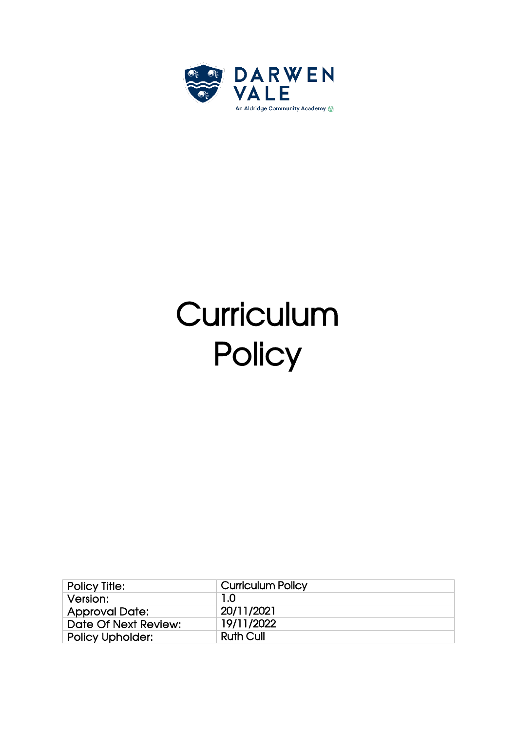

# **Curriculum Policy**

| <b>Policy Title:</b>    | <b>Curriculum Policy</b> |
|-------------------------|--------------------------|
| Version:                | 1.0                      |
| <b>Approval Date:</b>   | 20/11/2021               |
| Date Of Next Review:    | 19/11/2022               |
| <b>Policy Upholder:</b> | <b>Ruth Cull</b>         |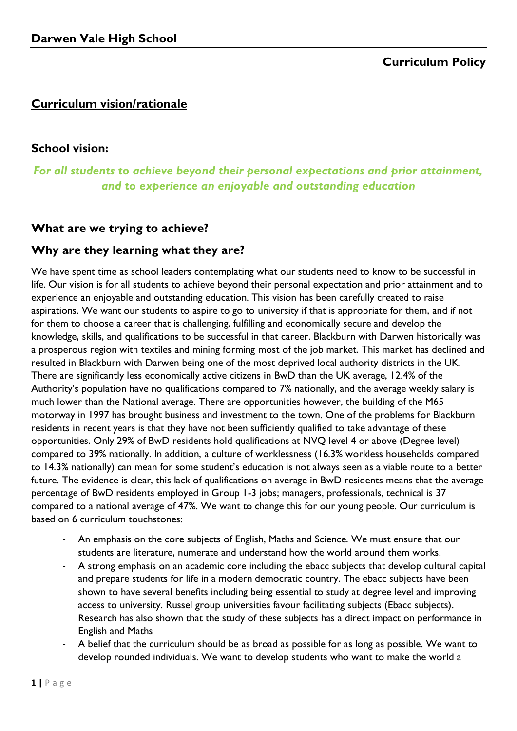# **Curriculum Policy**

# **Curriculum vision/rationale**

# **School vision:**

# *For all students to achieve beyond their personal expectations and prior attainment, and to experience an enjoyable and outstanding education*

# **What are we trying to achieve?**

# **Why are they learning what they are?**

We have spent time as school leaders contemplating what our students need to know to be successful in life. Our vision is for all students to achieve beyond their personal expectation and prior attainment and to experience an enjoyable and outstanding education. This vision has been carefully created to raise aspirations. We want our students to aspire to go to university if that is appropriate for them, and if not for them to choose a career that is challenging, fulfilling and economically secure and develop the knowledge, skills, and qualifications to be successful in that career. Blackburn with Darwen historically was a prosperous region with textiles and mining forming most of the job market. This market has declined and resulted in Blackburn with Darwen being one of the most deprived local authority districts in the UK. There are significantly less economically active citizens in BwD than the UK average, 12.4% of the Authority's population have no qualifications compared to 7% nationally, and the average weekly salary is much lower than the National average. There are opportunities however, the building of the M65 motorway in 1997 has brought business and investment to the town. One of the problems for Blackburn residents in recent years is that they have not been sufficiently qualified to take advantage of these opportunities. Only 29% of BwD residents hold qualifications at NVQ level 4 or above (Degree level) compared to 39% nationally. In addition, a culture of worklessness (16.3% workless households compared to 14.3% nationally) can mean for some student's education is not always seen as a viable route to a better future. The evidence is clear, this lack of qualifications on average in BwD residents means that the average percentage of BwD residents employed in Group 1-3 jobs; managers, professionals, technical is 37 compared to a national average of 47%. We want to change this for our young people. Our curriculum is based on 6 curriculum touchstones:

- An emphasis on the core subjects of English, Maths and Science. We must ensure that our students are literature, numerate and understand how the world around them works.
- A strong emphasis on an academic core including the ebacc subjects that develop cultural capital and prepare students for life in a modern democratic country. The ebacc subjects have been shown to have several benefits including being essential to study at degree level and improving access to university. Russel group universities favour facilitating subjects (Ebacc subjects). Research has also shown that the study of these subjects has a direct impact on performance in English and Maths
- A belief that the curriculum should be as broad as possible for as long as possible. We want to develop rounded individuals. We want to develop students who want to make the world a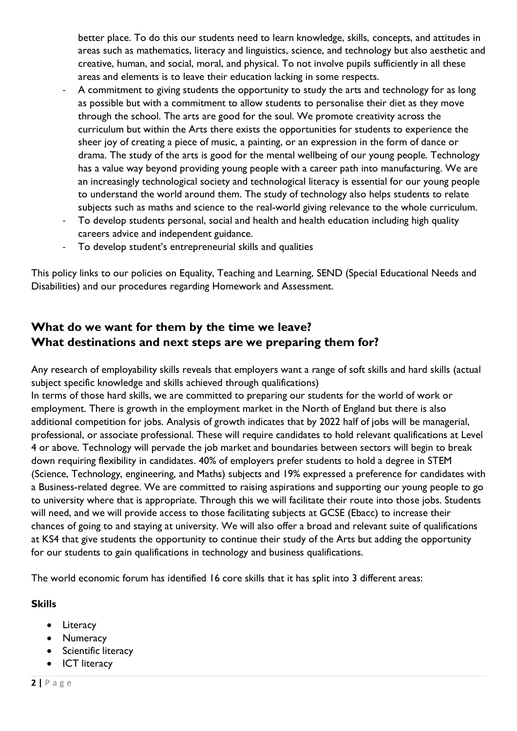better place. To do this our students need to learn knowledge, skills, concepts, and attitudes in areas such as mathematics, literacy and linguistics, science, and technology but also aesthetic and creative, human, and social, moral, and physical. To not involve pupils sufficiently in all these areas and elements is to leave their education lacking in some respects.

- A commitment to giving students the opportunity to study the arts and technology for as long as possible but with a commitment to allow students to personalise their diet as they move through the school. The arts are good for the soul. We promote creativity across the curriculum but within the Arts there exists the opportunities for students to experience the sheer joy of creating a piece of music, a painting, or an expression in the form of dance or drama. The study of the arts is good for the mental wellbeing of our young people. Technology has a value way beyond providing young people with a career path into manufacturing. We are an increasingly technological society and technological literacy is essential for our young people to understand the world around them. The study of technology also helps students to relate subjects such as maths and science to the real-world giving relevance to the whole curriculum.
- To develop students personal, social and health and health education including high quality careers advice and independent guidance.
- To develop student's entrepreneurial skills and qualities

This policy links to our policies on Equality, Teaching and Learning, SEND (Special Educational Needs and Disabilities) and our procedures regarding Homework and Assessment.

# **What do we want for them by the time we leave? What destinations and next steps are we preparing them for?**

Any research of employability skills reveals that employers want a range of soft skills and hard skills (actual subject specific knowledge and skills achieved through qualifications) In terms of those hard skills, we are committed to preparing our students for the world of work or

employment. There is growth in the employment market in the North of England but there is also additional competition for jobs. Analysis of growth indicates that by 2022 half of jobs will be managerial, professional, or associate professional. These will require candidates to hold relevant qualifications at Level 4 or above. Technology will pervade the job market and boundaries between sectors will begin to break down requiring flexibility in candidates. 40% of employers prefer students to hold a degree in STEM (Science, Technology, engineering, and Maths) subjects and 19% expressed a preference for candidates with a Business-related degree. We are committed to raising aspirations and supporting our young people to go to university where that is appropriate. Through this we will facilitate their route into those jobs. Students will need, and we will provide access to those facilitating subjects at GCSE (Ebacc) to increase their chances of going to and staying at university. We will also offer a broad and relevant suite of qualifications at KS4 that give students the opportunity to continue their study of the Arts but adding the opportunity for our students to gain qualifications in technology and business qualifications.

The world economic forum has identified 16 core skills that it has split into 3 different areas:

## **Skills**

- Literacy
- Numeracy
- Scientific literacy
- ICT literacy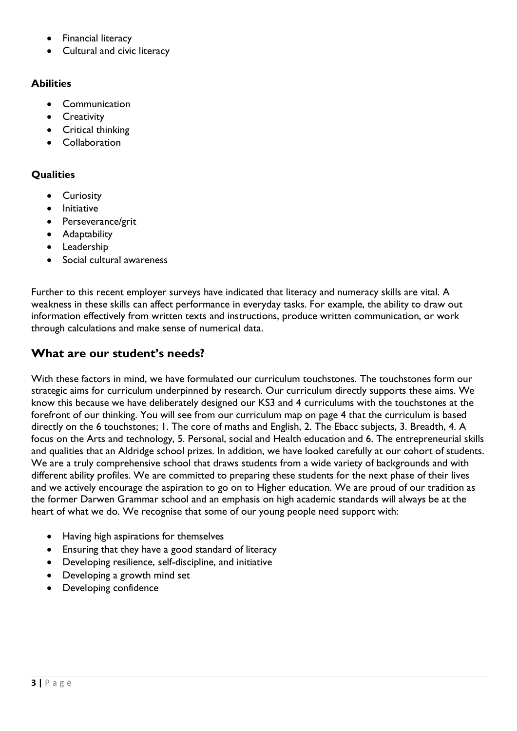- Financial literacy
- Cultural and civic literacy

## **Abilities**

- Communication
- Creativity
- Critical thinking
- Collaboration

## **Qualities**

- Curiosity
- Initiative
- Perseverance/grit
- Adaptability
- Leadership
- Social cultural awareness

Further to this recent employer surveys have indicated that literacy and numeracy skills are vital. A weakness in these skills can affect performance in everyday tasks. For example, the ability to draw out information effectively from written texts and instructions, produce written communication, or work through calculations and make sense of numerical data.

# **What are our student's needs?**

With these factors in mind, we have formulated our curriculum touchstones. The touchstones form our strategic aims for curriculum underpinned by research. Our curriculum directly supports these aims. We know this because we have deliberately designed our KS3 and 4 curriculums with the touchstones at the forefront of our thinking. You will see from our curriculum map on page 4 that the curriculum is based directly on the 6 touchstones; 1. The core of maths and English, 2. The Ebacc subjects, 3. Breadth, 4. A focus on the Arts and technology, 5. Personal, social and Health education and 6. The entrepreneurial skills and qualities that an Aldridge school prizes. In addition, we have looked carefully at our cohort of students. We are a truly comprehensive school that draws students from a wide variety of backgrounds and with different ability profiles. We are committed to preparing these students for the next phase of their lives and we actively encourage the aspiration to go on to Higher education. We are proud of our tradition as the former Darwen Grammar school and an emphasis on high academic standards will always be at the heart of what we do. We recognise that some of our young people need support with:

- Having high aspirations for themselves
- Ensuring that they have a good standard of literacy
- Developing resilience, self-discipline, and initiative
- Developing a growth mind set
- Developing confidence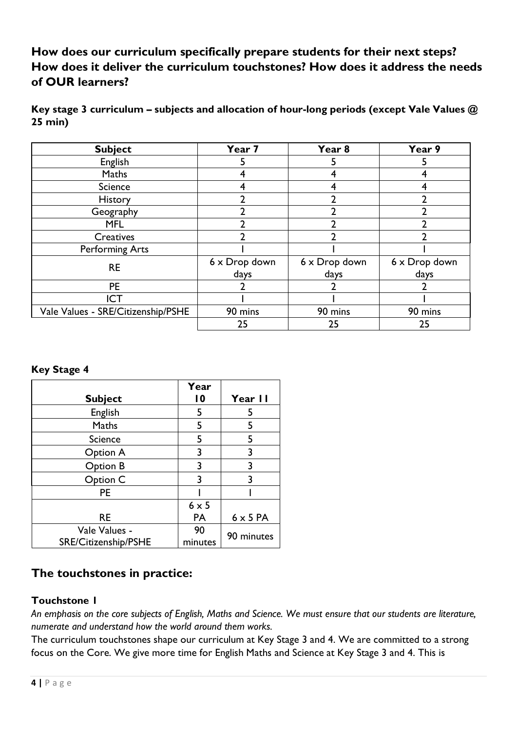**How does our curriculum specifically prepare students for their next steps? How does it deliver the curriculum touchstones? How does it address the needs of OUR learners?**

**Key stage 3 curriculum – subjects and allocation of hour-long periods (except Vale Values @ 25 min)**

| <b>Subject</b>                     | Year 7        | Year 8        | Year 9        |  |
|------------------------------------|---------------|---------------|---------------|--|
| <b>English</b>                     | 5             |               |               |  |
| Maths                              |               |               |               |  |
| <b>Science</b>                     |               |               |               |  |
| <b>History</b>                     | າ             | 2             |               |  |
| Geography                          |               |               |               |  |
| <b>MFL</b>                         |               | า             |               |  |
| Creatives                          |               |               |               |  |
| <b>Performing Arts</b>             |               |               |               |  |
| <b>RE</b>                          | 6 x Drop down | 6 x Drop down | 6 x Drop down |  |
|                                    | days          | days          | days          |  |
| <b>PE</b>                          |               |               |               |  |
| <b>ICT</b>                         |               |               |               |  |
| Vale Values - SRE/Citizenship/PSHE | 90 mins       | 90 mins       | 90 mins       |  |
|                                    | 25            | 25            | 25            |  |

#### **Key Stage 4**

|                      | Year            |                 |  |
|----------------------|-----------------|-----------------|--|
| <b>Subject</b>       | $\overline{10}$ | Year II         |  |
| English              | 5               | 5               |  |
| Maths                | 5               | 5               |  |
| <b>Science</b>       | 5               | 5               |  |
| Option A             | 3               | 3               |  |
| Option B             | 3               | 3               |  |
| Option C             | 3               | 3               |  |
| <b>PE</b>            |                 |                 |  |
|                      | $6 \times 5$    |                 |  |
| RE                   | PA              | $6 \times 5$ PA |  |
| Vale Values -        | 90              | 90 minutes      |  |
| SRE/Citizenship/PSHE | minutes         |                 |  |

# **The touchstones in practice:**

## **Touchstone 1**

*An emphasis on the core subjects of English, Maths and Science. We must ensure that our students are literature, numerate and understand how the world around them works.*

The curriculum touchstones shape our curriculum at Key Stage 3 and 4. We are committed to a strong focus on the Core. We give more time for English Maths and Science at Key Stage 3 and 4. This is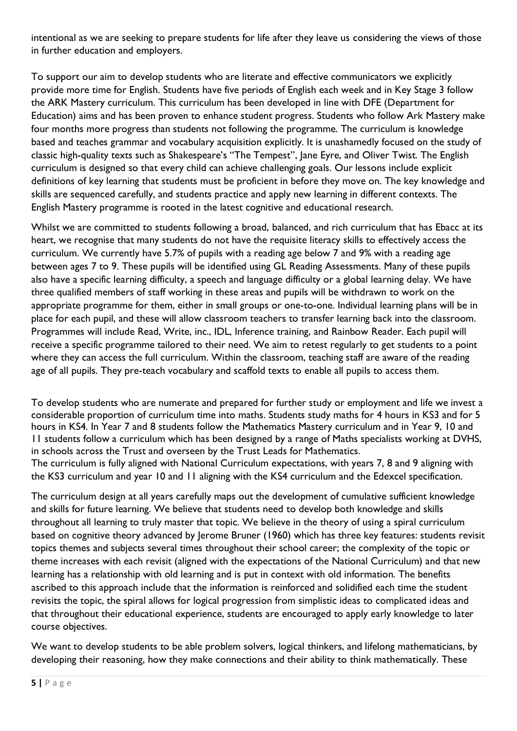intentional as we are seeking to prepare students for life after they leave us considering the views of those in further education and employers.

To support our aim to develop students who are literate and effective communicators we explicitly provide more time for English. Students have five periods of English each week and in Key Stage 3 follow the ARK Mastery curriculum. This curriculum has been developed in line with DFE (Department for Education) aims and has been proven to enhance student progress. Students who follow Ark Mastery make four months more progress than students not following the programme. The curriculum is knowledge based and teaches grammar and vocabulary acquisition explicitly. It is unashamedly focused on the study of classic high-quality texts such as Shakespeare's "The Tempest", Jane Eyre, and Oliver Twist. The English curriculum is designed so that every child can achieve challenging goals. Our lessons include explicit definitions of key learning that students must be proficient in before they move on. The key knowledge and skills are sequenced carefully, and students practice and apply new learning in different contexts. The English Mastery programme is rooted in the latest cognitive and educational research.

Whilst we are committed to students following a broad, balanced, and rich curriculum that has Ebacc at its heart, we recognise that many students do not have the requisite literacy skills to effectively access the curriculum. We currently have 5.7% of pupils with a reading age below 7 and 9% with a reading age between ages 7 to 9. These pupils will be identified using GL Reading Assessments. Many of these pupils also have a specific learning difficulty, a speech and language difficulty or a global learning delay. We have three qualified members of staff working in these areas and pupils will be withdrawn to work on the appropriate programme for them, either in small groups or one-to-one. Individual learning plans will be in place for each pupil, and these will allow classroom teachers to transfer learning back into the classroom. Programmes will include Read, Write, inc., IDL, Inference training, and Rainbow Reader. Each pupil will receive a specific programme tailored to their need. We aim to retest regularly to get students to a point where they can access the full curriculum. Within the classroom, teaching staff are aware of the reading age of all pupils. They pre-teach vocabulary and scaffold texts to enable all pupils to access them.

To develop students who are numerate and prepared for further study or employment and life we invest a considerable proportion of curriculum time into maths. Students study maths for 4 hours in KS3 and for 5 hours in KS4. In Year 7 and 8 students follow the Mathematics Mastery curriculum and in Year 9, 10 and 11 students follow a curriculum which has been designed by a range of Maths specialists working at DVHS, in schools across the Trust and overseen by the Trust Leads for Mathematics.

The curriculum is fully aligned with National Curriculum expectations, with years 7, 8 and 9 aligning with the KS3 curriculum and year 10 and 11 aligning with the KS4 curriculum and the Edexcel specification.

The curriculum design at all years carefully maps out the development of cumulative sufficient knowledge and skills for future learning. We believe that students need to develop both knowledge and skills throughout all learning to truly master that topic. We believe in the theory of using a spiral curriculum based on cognitive theory advanced by Jerome Bruner (1960) which has three key features: students revisit topics themes and subjects several times throughout their school career; the complexity of the topic or theme increases with each revisit (aligned with the expectations of the National Curriculum) and that new learning has a relationship with old learning and is put in context with old information. The benefits ascribed to this approach include that the information is reinforced and solidified each time the student revisits the topic, the spiral allows for logical progression from simplistic ideas to complicated ideas and that throughout their educational experience, students are encouraged to apply early knowledge to later course objectives.

We want to develop students to be able problem solvers, logical thinkers, and lifelong mathematicians, by developing their reasoning, how they make connections and their ability to think mathematically. These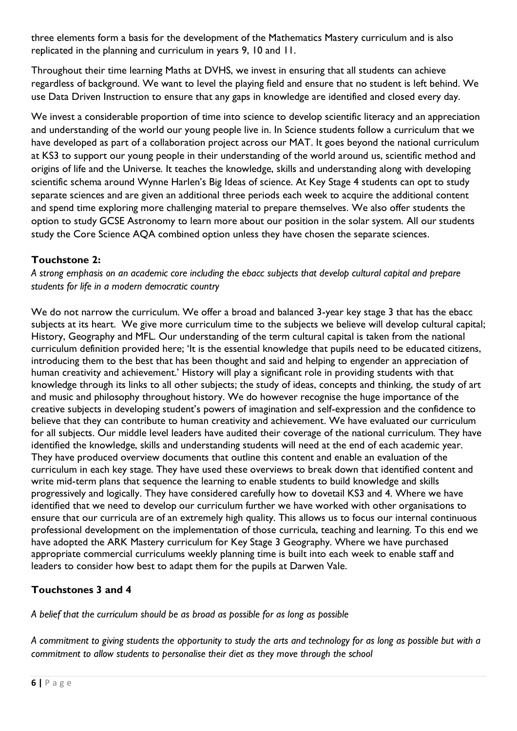three elements form a basis for the development of the Mathematics Mastery curriculum and is also replicated in the planning and curriculum in years 9, 10 and 11.

Throughout their time learning Maths at DVHS, we invest in ensuring that all students can achieve regardless of background. We want to level the playing field and ensure that no student is left behind. We use Data Driven Instruction to ensure that any gaps in knowledge are identified and closed every day.

We invest a considerable proportion of time into science to develop scientific literacy and an appreciation and understanding of the world our young people live in. In Science students follow a curriculum that we have developed as part of a collaboration project across our MAT. It goes beyond the national curriculum at KS3 to support our young people in their understanding of the world around us, scientific method and origins of life and the Universe. It teaches the knowledge, skills and understanding along with developing scientific schema around Wynne Harlen's Big Ideas of science. At Key Stage 4 students can opt to study separate sciences and are given an additional three periods each week to acquire the additional content and spend time exploring more challenging material to prepare themselves. We also offer students the option to study GCSE Astronomy to learn more about our position in the solar system. All our students study the Core Science AQA combined option unless they have chosen the separate sciences.

## **Touchstone 2:**

*A strong emphasis on an academic core including the ebacc subjects that develop cultural capital and prepare students for life in a modern democratic country*

We do not narrow the curriculum. We offer a broad and balanced 3-year key stage 3 that has the ebacc subjects at its heart. We give more curriculum time to the subjects we believe will develop cultural capital; History, Geography and MFL. Our understanding of the term cultural capital is taken from the national curriculum definition provided here; 'It is the essential knowledge that pupils need to be educated citizens, introducing them to the best that has been thought and said and helping to engender an appreciation of human creativity and achievement.' History will play a significant role in providing students with that knowledge through its links to all other subjects; the study of ideas, concepts and thinking, the study of art and music and philosophy throughout history. We do however recognise the huge importance of the creative subjects in developing student's powers of imagination and self-expression and the confidence to believe that they can contribute to human creativity and achievement. We have evaluated our curriculum for all subjects. Our middle level leaders have audited their coverage of the national curriculum. They have identified the knowledge, skills and understanding students will need at the end of each academic year. They have produced overview documents that outline this content and enable an evaluation of the curriculum in each key stage. They have used these overviews to break down that identified content and write mid-term plans that sequence the learning to enable students to build knowledge and skills progressively and logically. They have considered carefully how to dovetail KS3 and 4. Where we have identified that we need to develop our curriculum further we have worked with other organisations to ensure that our curricula are of an extremely high quality. This allows us to focus our internal continuous professional development on the implementation of those curricula, teaching and learning. To this end we have adopted the ARK Mastery curriculum for Key Stage 3 Geography. Where we have purchased appropriate commercial curriculums weekly planning time is built into each week to enable staff and leaders to consider how best to adapt them for the pupils at Darwen Vale.

# **Touchstones 3 and 4**

*A belief that the curriculum should be as broad as possible for as long as possible*

*A commitment to giving students the opportunity to study the arts and technology for as long as possible but with a commitment to allow students to personalise their diet as they move through the school*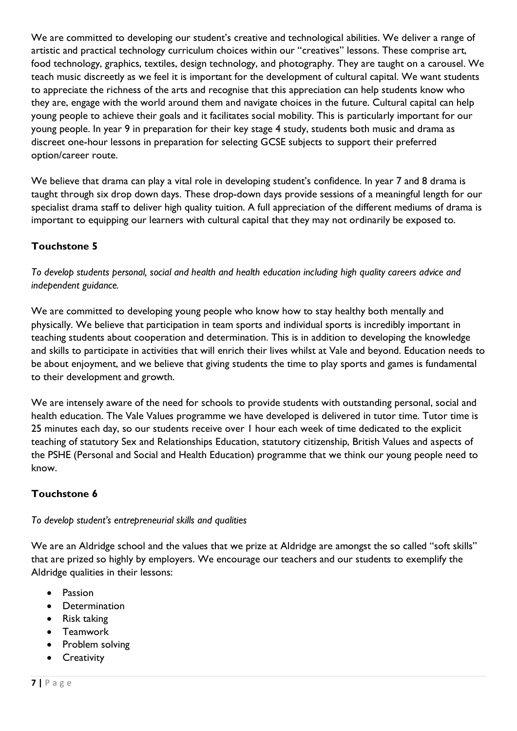We are committed to developing our student's creative and technological abilities. We deliver a range of artistic and practical technology curriculum choices within our "creatives" lessons. These comprise art, food technology, graphics, textiles, design technology, and photography. They are taught on a carousel. We teach music discreetly as we feel it is important for the development of cultural capital. We want students to appreciate the richness of the arts and recognise that this appreciation can help students know who they are, engage with the world around them and navigate choices in the future. Cultural capital can help young people to achieve their goals and it facilitates social mobility. This is particularly important for our young people. In year 9 in preparation for their key stage 4 study, students both music and drama as discreet one-hour lessons in preparation for selecting GCSE subjects to support their preferred option/career route.

We believe that drama can play a vital role in developing student's confidence. In year 7 and 8 drama is taught through six drop down days. These drop-down days provide sessions of a meaningful length for our specialist drama staff to deliver high quality tuition. A full appreciation of the different mediums of drama is important to equipping our learners with cultural capital that they may not ordinarily be exposed to.

# **Touchstone 5**

*To develop students personal, social and health and health education including high quality careers advice and independent guidance.*

We are committed to developing young people who know how to stay healthy both mentally and physically. We believe that participation in team sports and individual sports is incredibly important in teaching students about cooperation and determination. This is in addition to developing the knowledge and skills to participate in activities that will enrich their lives whilst at Vale and beyond. Education needs to be about enjoyment, and we believe that giving students the time to play sports and games is fundamental to their development and growth.

We are intensely aware of the need for schools to provide students with outstanding personal, social and health education. The Vale Values programme we have developed is delivered in tutor time. Tutor time is 25 minutes each day, so our students receive over 1 hour each week of time dedicated to the explicit teaching of statutory Sex and Relationships Education, statutory citizenship, British Values and aspects of the PSHE (Personal and Social and Health Education) programme that we think our young people need to know.

# **Touchstone 6**

## *To develop student's entrepreneurial skills and qualities*

We are an Aldridge school and the values that we prize at Aldridge are amongst the so called "soft skills" that are prized so highly by employers. We encourage our teachers and our students to exemplify the Aldridge qualities in their lessons:

- Passion
- Determination
- Risk taking
- Teamwork
- Problem solving
- Creativity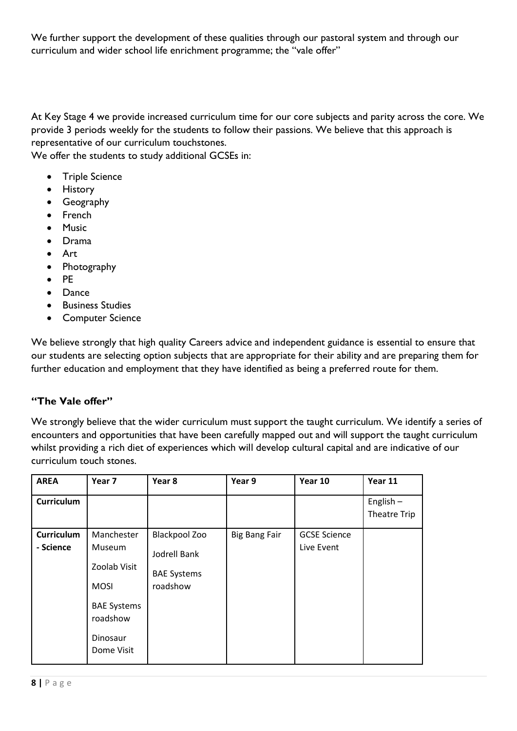We further support the development of these qualities through our pastoral system and through our curriculum and wider school life enrichment programme; the "vale offer"

At Key Stage 4 we provide increased curriculum time for our core subjects and parity across the core. We provide 3 periods weekly for the students to follow their passions. We believe that this approach is representative of our curriculum touchstones.

We offer the students to study additional GCSEs in:

- Triple Science
- History
- Geography
- French
- Music
- Drama
- Art
- Photography
- PE
- Dance
- Business Studies
- Computer Science

We believe strongly that high quality Careers advice and independent guidance is essential to ensure that our students are selecting option subjects that are appropriate for their ability and are preparing them for further education and employment that they have identified as being a preferred route for them.

#### **"The Vale offer"**

We strongly believe that the wider curriculum must support the taught curriculum. We identify a series of encounters and opportunities that have been carefully mapped out and will support the taught curriculum whilst providing a rich diet of experiences which will develop cultural capital and are indicative of our curriculum touch stones.

| <b>AREA</b>                    | Year 7                                                                                                          | Year 8                                                                 | Year 9               | Year 10                           | Year 11                            |
|--------------------------------|-----------------------------------------------------------------------------------------------------------------|------------------------------------------------------------------------|----------------------|-----------------------------------|------------------------------------|
| <b>Curriculum</b>              |                                                                                                                 |                                                                        |                      |                                   | English $-$<br><b>Theatre Trip</b> |
| <b>Curriculum</b><br>- Science | Manchester<br>Museum<br>Zoolab Visit<br><b>MOSI</b><br><b>BAE Systems</b><br>roadshow<br>Dinosaur<br>Dome Visit | <b>Blackpool Zoo</b><br>Jodrell Bank<br><b>BAE Systems</b><br>roadshow | <b>Big Bang Fair</b> | <b>GCSE Science</b><br>Live Event |                                    |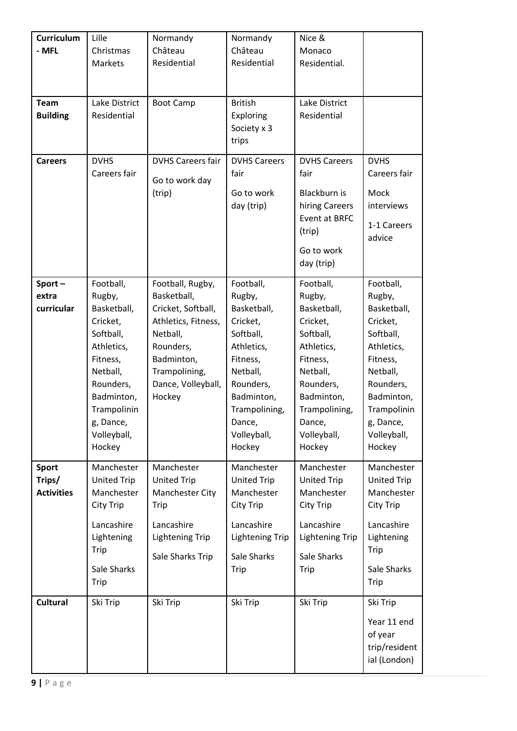| Curriculum<br>- MFL                         | Lille<br>Christmas<br>Markets                                                                                                                                                     | Normandy<br>Château<br>Residential                                                                                                                                   | Normandy<br>Château<br>Residential                                                                                                                                               | Nice &<br>Monaco<br>Residential.                                                                                                                                                 |                                                                                                                                                                                   |
|---------------------------------------------|-----------------------------------------------------------------------------------------------------------------------------------------------------------------------------------|----------------------------------------------------------------------------------------------------------------------------------------------------------------------|----------------------------------------------------------------------------------------------------------------------------------------------------------------------------------|----------------------------------------------------------------------------------------------------------------------------------------------------------------------------------|-----------------------------------------------------------------------------------------------------------------------------------------------------------------------------------|
| <b>Team</b><br><b>Building</b>              | Lake District<br>Residential                                                                                                                                                      | <b>Boot Camp</b>                                                                                                                                                     | <b>British</b><br>Exploring<br>Society x 3<br>trips                                                                                                                              | Lake District<br>Residential                                                                                                                                                     |                                                                                                                                                                                   |
| <b>Careers</b>                              | <b>DVHS</b><br>Careers fair                                                                                                                                                       | <b>DVHS Careers fair</b><br>Go to work day<br>(trip)                                                                                                                 | <b>DVHS Careers</b><br>fair<br>Go to work<br>day (trip)                                                                                                                          | <b>DVHS Careers</b><br>fair<br>Blackburn is<br>hiring Careers<br>Event at BRFC<br>(trip)<br>Go to work<br>day (trip)                                                             | <b>DVHS</b><br>Careers fair<br>Mock<br>interviews<br>1-1 Careers<br>advice                                                                                                        |
| Sport-<br>extra<br>curricular               | Football,<br>Rugby,<br>Basketball,<br>Cricket,<br>Softball,<br>Athletics,<br>Fitness,<br>Netball,<br>Rounders,<br>Badminton,<br>Trampolinin<br>g, Dance,<br>Volleyball,<br>Hockey | Football, Rugby,<br>Basketball,<br>Cricket, Softball,<br>Athletics, Fitness,<br>Netball,<br>Rounders,<br>Badminton,<br>Trampolining,<br>Dance, Volleyball,<br>Hockey | Football,<br>Rugby,<br>Basketball,<br>Cricket,<br>Softball,<br>Athletics,<br>Fitness,<br>Netball,<br>Rounders,<br>Badminton,<br>Trampolining,<br>Dance,<br>Volleyball,<br>Hockey | Football,<br>Rugby,<br>Basketball,<br>Cricket,<br>Softball,<br>Athletics,<br>Fitness,<br>Netball,<br>Rounders,<br>Badminton,<br>Trampolining,<br>Dance,<br>Volleyball,<br>Hockey | Football,<br>Rugby,<br>Basketball,<br>Cricket,<br>Softball,<br>Athletics,<br>Fitness,<br>Netball,<br>Rounders,<br>Badminton,<br>Trampolinin<br>g, Dance,<br>Volleyball,<br>Hockey |
| <b>Sport</b><br>Trips/<br><b>Activities</b> | Manchester<br><b>United Trip</b><br>Manchester<br>City Trip<br>Lancashire<br>Lightening<br>Trip<br>Sale Sharks<br>Trip                                                            | Manchester<br><b>United Trip</b><br>Manchester City<br>Trip<br>Lancashire<br><b>Lightening Trip</b><br>Sale Sharks Trip                                              | Manchester<br><b>United Trip</b><br>Manchester<br>City Trip<br>Lancashire<br><b>Lightening Trip</b><br>Sale Sharks<br>Trip                                                       | Manchester<br><b>United Trip</b><br>Manchester<br>City Trip<br>Lancashire<br><b>Lightening Trip</b><br>Sale Sharks<br>Trip                                                       | Manchester<br>United Trip<br>Manchester<br>City Trip<br>Lancashire<br>Lightening<br>Trip<br>Sale Sharks<br>Trip                                                                   |
| <b>Cultural</b>                             | Ski Trip                                                                                                                                                                          | Ski Trip                                                                                                                                                             | Ski Trip                                                                                                                                                                         | Ski Trip                                                                                                                                                                         | Ski Trip<br>Year 11 end<br>of year<br>trip/resident<br>ial (London)                                                                                                               |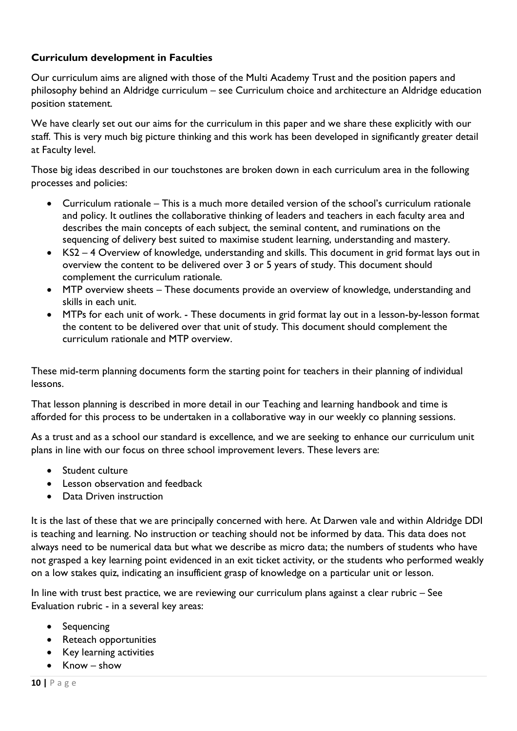#### **Curriculum development in Faculties**

Our curriculum aims are aligned with those of the Multi Academy Trust and the position papers and philosophy behind an Aldridge curriculum – see Curriculum choice and architecture an Aldridge education position statement.

We have clearly set out our aims for the curriculum in this paper and we share these explicitly with our staff. This is very much big picture thinking and this work has been developed in significantly greater detail at Faculty level.

Those big ideas described in our touchstones are broken down in each curriculum area in the following processes and policies:

- Curriculum rationale This is a much more detailed version of the school's curriculum rationale and policy. It outlines the collaborative thinking of leaders and teachers in each faculty area and describes the main concepts of each subject, the seminal content, and ruminations on the sequencing of delivery best suited to maximise student learning, understanding and mastery.
- KS2 4 Overview of knowledge, understanding and skills. This document in grid format lays out in overview the content to be delivered over 3 or 5 years of study. This document should complement the curriculum rationale.
- MTP overview sheets These documents provide an overview of knowledge, understanding and skills in each unit.
- MTPs for each unit of work. These documents in grid format lay out in a lesson-by-lesson format the content to be delivered over that unit of study. This document should complement the curriculum rationale and MTP overview.

These mid-term planning documents form the starting point for teachers in their planning of individual lessons.

That lesson planning is described in more detail in our Teaching and learning handbook and time is afforded for this process to be undertaken in a collaborative way in our weekly co planning sessions.

As a trust and as a school our standard is excellence, and we are seeking to enhance our curriculum unit plans in line with our focus on three school improvement levers. These levers are:

- Student culture
- Lesson observation and feedback
- Data Driven instruction

It is the last of these that we are principally concerned with here. At Darwen vale and within Aldridge DDI is teaching and learning. No instruction or teaching should not be informed by data. This data does not always need to be numerical data but what we describe as micro data; the numbers of students who have not grasped a key learning point evidenced in an exit ticket activity, or the students who performed weakly on a low stakes quiz, indicating an insufficient grasp of knowledge on a particular unit or lesson.

In line with trust best practice, we are reviewing our curriculum plans against a clear rubric – See Evaluation rubric - in a several key areas:

- Sequencing
- Reteach opportunities
- Key learning activities
- Know show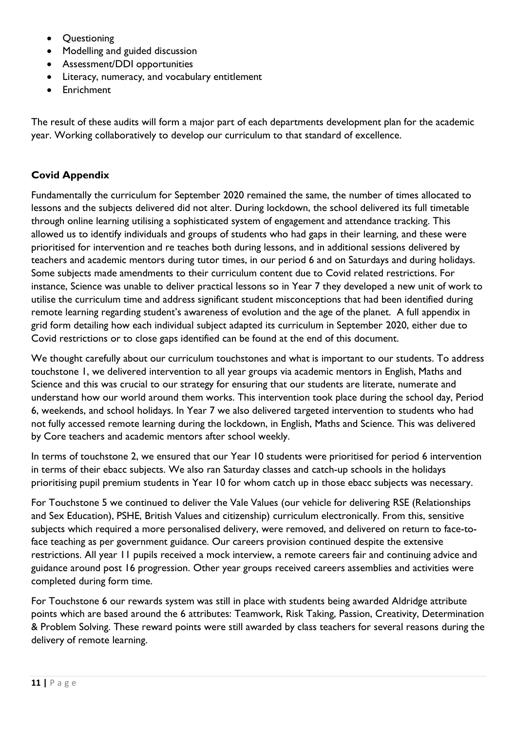- Questioning
- Modelling and guided discussion
- Assessment/DDI opportunities
- Literacy, numeracy, and vocabulary entitlement
- Enrichment

The result of these audits will form a major part of each departments development plan for the academic year. Working collaboratively to develop our curriculum to that standard of excellence.

## **Covid Appendix**

Fundamentally the curriculum for September 2020 remained the same, the number of times allocated to lessons and the subjects delivered did not alter. During lockdown, the school delivered its full timetable through online learning utilising a sophisticated system of engagement and attendance tracking. This allowed us to identify individuals and groups of students who had gaps in their learning, and these were prioritised for intervention and re teaches both during lessons, and in additional sessions delivered by teachers and academic mentors during tutor times, in our period 6 and on Saturdays and during holidays. Some subjects made amendments to their curriculum content due to Covid related restrictions. For instance, Science was unable to deliver practical lessons so in Year 7 they developed a new unit of work to utilise the curriculum time and address significant student misconceptions that had been identified during remote learning regarding student's awareness of evolution and the age of the planet. A full appendix in grid form detailing how each individual subject adapted its curriculum in September 2020, either due to Covid restrictions or to close gaps identified can be found at the end of this document.

We thought carefully about our curriculum touchstones and what is important to our students. To address touchstone 1, we delivered intervention to all year groups via academic mentors in English, Maths and Science and this was crucial to our strategy for ensuring that our students are literate, numerate and understand how our world around them works. This intervention took place during the school day, Period 6, weekends, and school holidays. In Year 7 we also delivered targeted intervention to students who had not fully accessed remote learning during the lockdown, in English, Maths and Science. This was delivered by Core teachers and academic mentors after school weekly.

In terms of touchstone 2, we ensured that our Year 10 students were prioritised for period 6 intervention in terms of their ebacc subjects. We also ran Saturday classes and catch-up schools in the holidays prioritising pupil premium students in Year 10 for whom catch up in those ebacc subjects was necessary.

For Touchstone 5 we continued to deliver the Vale Values (our vehicle for delivering RSE (Relationships and Sex Education), PSHE, British Values and citizenship) curriculum electronically. From this, sensitive subjects which required a more personalised delivery, were removed, and delivered on return to face-toface teaching as per government guidance. Our careers provision continued despite the extensive restrictions. All year 11 pupils received a mock interview, a remote careers fair and continuing advice and guidance around post 16 progression. Other year groups received careers assemblies and activities were completed during form time.

For Touchstone 6 our rewards system was still in place with students being awarded Aldridge attribute points which are based around the 6 attributes: Teamwork, Risk Taking, Passion, Creativity, Determination & Problem Solving. These reward points were still awarded by class teachers for several reasons during the delivery of remote learning.